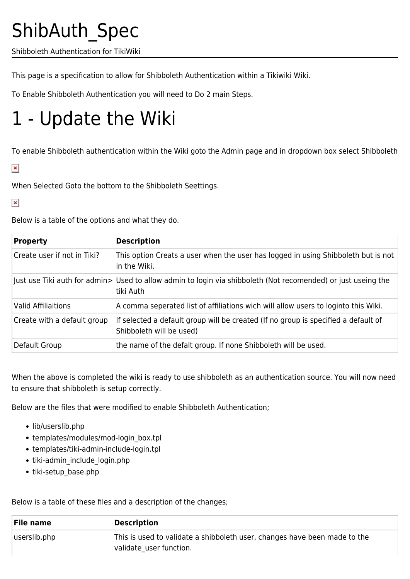## ShibAuth\_Spec

Shibboleth Authentication for TikiWiki

This page is a specification to allow for Shibboleth Authentication within a Tikiwiki Wiki.

To Enable Shibboleth Authentication you will need to Do 2 main Steps.

## 1 - Update the Wiki

To enable Shibboleth authentication within the Wiki goto the Admin page and in dropdown box select Shibboleth

 $\pmb{\times}$ 

When Selected Goto the bottom to the Shibboleth Seettings.

## $\pmb{\times}$

Below is a table of the options and what they do.

| <b>Property</b>             | <b>Description</b>                                                                                                         |
|-----------------------------|----------------------------------------------------------------------------------------------------------------------------|
| Create user if not in Tiki? | This option Creats a user when the user has logged in using Shibboleth but is not<br>in the Wiki.                          |
|                             | Just use Tiki auth for admin> Used to allow admin to login via shibboleth (Not recomended) or just useing the<br>tiki Auth |
| <b>Valid Affiliaitions</b>  | A comma seperated list of affiliations wich will allow users to loginto this Wiki.                                         |
| Create with a default group | If selected a default group will be created (If no group is specified a default of<br>Shibboleth will be used)             |
| Default Group               | the name of the defalt group. If none Shibboleth will be used.                                                             |

When the above is completed the wiki is ready to use shibboleth as an authentication source. You will now need to ensure that shibboleth is setup correctly.

Below are the files that were modified to enable Shibboleth Authentication;

- lib/userslib.php
- templates/modules/mod-login\_box.tpl
- templates/tiki-admin-include-login.tpl
- tiki-admin\_include\_login.php
- tiki-setup base.php

Below is a table of these files and a description of the changes;

| File name    | <b>Description</b>                                                                                   |
|--------------|------------------------------------------------------------------------------------------------------|
| userslib.php | This is used to validate a shibboleth user, changes have been made to the<br>validate user function. |